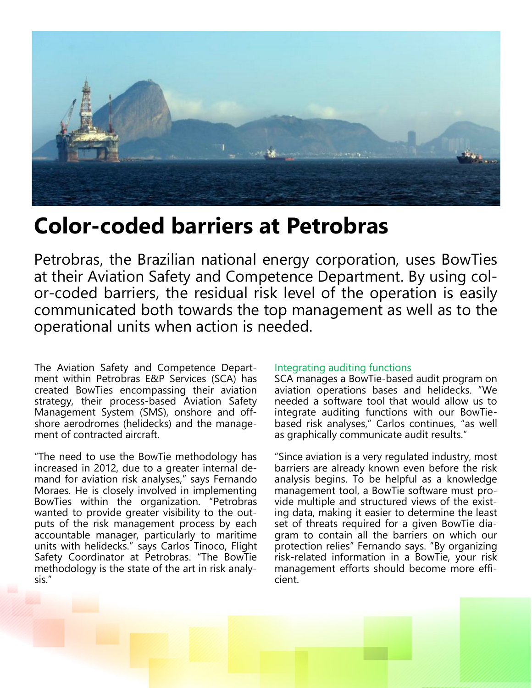

# **Color-coded barriers at Petrobras**

Petrobras, the Brazilian national energy corporation, uses BowTies at their Aviation Safety and Competence Department. By using color-coded barriers, the residual risk level of the operation is easily communicated both towards the top management as well as to the operational units when action is needed.

The Aviation Safety and Competence Department within Petrobras E&P Services (SCA) has created BowTies encompassing their aviation strategy, their process-based Aviation Safety Management System (SMS), onshore and offshore aerodromes (helidecks) and the management of contracted aircraft.

"The need to use the BowTie methodology has increased in 2012, due to a greater internal demand for aviation risk analyses," says Fernando Moraes. He is closely involved in implementing BowTies within the organization. "Petrobras wanted to provide greater visibility to the outputs of the risk management process by each accountable manager, particularly to maritime units with helidecks." says Carlos Tinoco, Flight Safety Coordinator at Petrobras. "The BowTie methodology is the state of the art in risk analysis."

## Integrating auditing functions

SCA manages a BowTie-based audit program on aviation operations bases and helidecks. "We needed a software tool that would allow us to integrate auditing functions with our BowTiebased risk analyses," Carlos continues, "as well as graphically communicate audit results."

"Since aviation is a very regulated industry, most barriers are already known even before the risk analysis begins. To be helpful as a knowledge management tool, a BowTie software must provide multiple and structured views of the existing data, making it easier to determine the least set of threats required for a given BowTie diagram to contain all the barriers on which our protection relies" Fernando says. "By organizing risk-related information in a BowTie, your risk management efforts should become more efficient.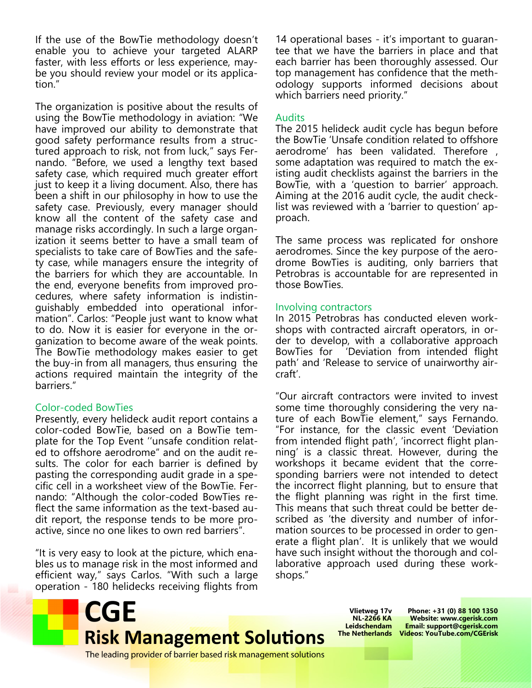If the use of the BowTie methodology doesn't enable you to achieve your targeted ALARP faster, with less efforts or less experience, maybe you should review your model or its application."

The organization is positive about the results of using the BowTie methodology in aviation: "We have improved our ability to demonstrate that good safety performance results from a structured approach to risk, not from luck," says Fernando. "Before, we used a lengthy text based safety case, which required much greater effort just to keep it a living document. Also, there has been a shift in our philosophy in how to use the safety case. Previously, every manager should know all the content of the safety case and manage risks accordingly. In such a large organization it seems better to have a small team of specialists to take care of BowTies and the safety case, while managers ensure the integrity of the barriers for which they are accountable. In the end, everyone benefits from improved procedures, where safety information is indistinguishably embedded into operational information". Carlos: "People just want to know what to do. Now it is easier for everyone in the organization to become aware of the weak points. The BowTie methodology makes easier to get the buy-in from all managers, thus ensuring the actions required maintain the integrity of the barriers."

## Color-coded BowTies

Presently, every helideck audit report contains a color-coded BowTie, based on a BowTie template for the Top Event ''unsafe condition related to offshore aerodrome" and on the audit results. The color for each barrier is defined by pasting the corresponding audit grade in a specific cell in a worksheet view of the BowTie. Fernando: "Although the color-coded BowTies reflect the same information as the text-based audit report, the response tends to be more proactive, since no one likes to own red barriers".

"It is very easy to look at the picture, which enables us to manage risk in the most informed and efficient way," says Carlos. "With such a large operation - 180 helidecks receiving flights from

14 operational bases - it's important to guarantee that we have the barriers in place and that each barrier has been thoroughly assessed. Our top management has confidence that the methodology supports informed decisions about which barriers need priority."

## Audits

The 2015 helideck audit cycle has begun before the BowTie 'Unsafe condition related to offshore aerodrome' has been validated. Therefore , some adaptation was required to match the existing audit checklists against the barriers in the BowTie, with a 'question to barrier' approach. Aiming at the 2016 audit cycle, the audit checklist was reviewed with a 'barrier to question' approach.

The same process was replicated for onshore aerodromes. Since the key purpose of the aerodrome BowTies is auditing, only barriers that Petrobras is accountable for are represented in those BowTies.

### Involving contractors

In 2015 Petrobras has conducted eleven workshops with contracted aircraft operators, in order to develop, with a collaborative approach BowTies for 'Deviation from intended flight path' and 'Release to service of unairworthy aircraft'.

"Our aircraft contractors were invited to invest some time thoroughly considering the very nature of each BowTie element," says Fernando. "For instance, for the classic event 'Deviation from intended flight path', 'incorrect flight planning' is a classic threat. However, during the workshops it became evident that the corresponding barriers were not intended to detect the incorrect flight planning, but to ensure that the flight planning was right in the first time. This means that such threat could be better described as 'the diversity and number of information sources to be processed in order to generate a flight plan'. It is unlikely that we would have such insight without the thorough and collaborative approach used during these workshops."



**Vlietweg 17v NL-2266 KA Leidschendam**

**The Netherlands Videos: YouTube.com/CGEriskPhone: +31 (0) 88 100 1350 Website: www.cgerisk.com Email: support@cgerisk.com**

The leading provider of barrier based risk management solutions